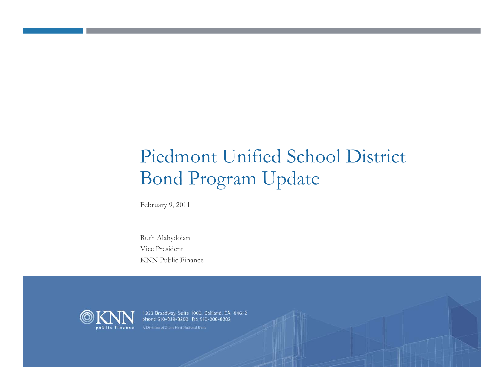# Piedmont Unified School District Bond Program Update

February 9, 2011

Ruth Alahydoian Vice PresidentKNN Public Finance



1333 Broadway, Suite 1000, Oakland, CA 94612 phone 510-839-8200 fax 510-208-8282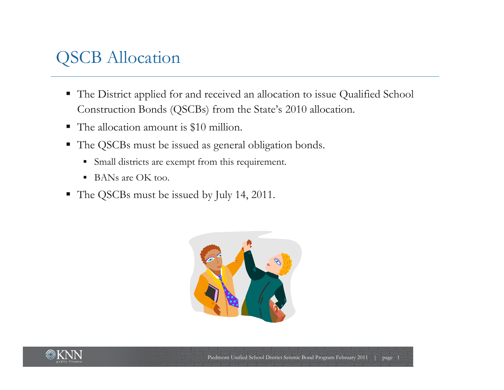### QSCB Allocation

- The District applied for and received an allocation to issue Qualified School Construction Bonds (QSCBs) from the State's 2010 allocation.
- $\mathcal{L}_{\mathcal{A}}$ The allocation amount is \$10 million.
- The QSCBs must be issued as general obligation bonds.
	- Small districts are exempt from this requirement.
	- BANs are OK too.
- The QSCBs must be issued by July 14, 2011.



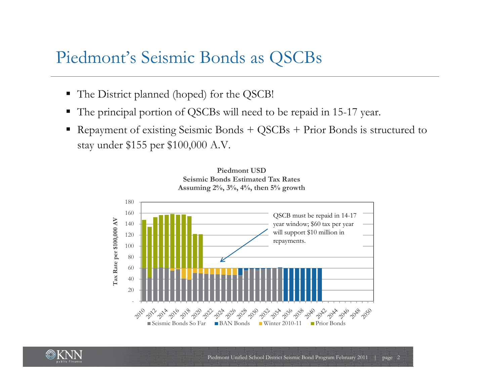#### Piedmont's Seismic Bonds as QSCBs

- The District planned (hoped) for the QSCB!
- ш The principal portion of QSCBs will need to be repaid in 15-17 year.
- ш Repayment of existing Seismic Bonds + QSCBs + Prior Bonds is structured to stay under \$155 per \$100,000 A.V.





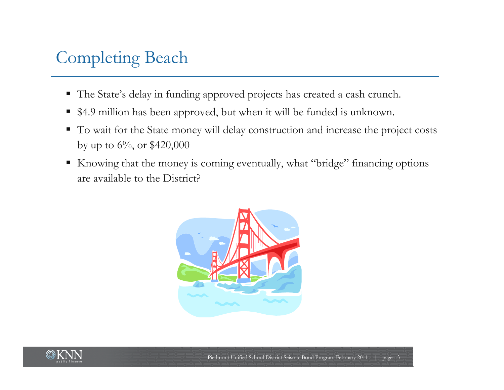## Completing Beach

- The State's delay in funding approved projects has created a cash crunch.
- \$4.9 million has been approved, but when it will be funded is unknown.
- To wait for the State money will delay construction and increase the project costs by up to  $6\%$ , or \$420,000
- $\mathcal{L}_{\mathcal{A}}$  Knowing that the money is coming eventually, what "bridge" financing options are available to the District?



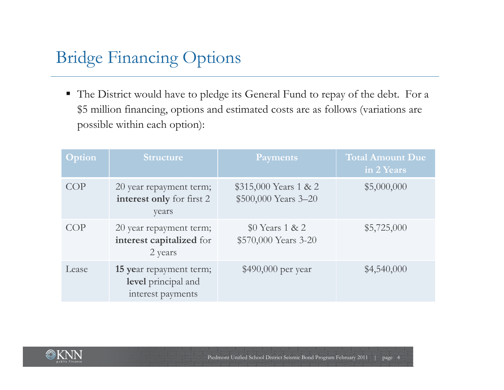### Bridge Financing Options

 The District would have to pledge its General Fund to repay of the debt. For a \$5 million financing, options and estimated costs are as follows (variations are possible within each option):

| Option | <b>Structure</b>                                                    | Payments                                                            | <b>Total Amount Due</b><br>in 2 Years |
|--------|---------------------------------------------------------------------|---------------------------------------------------------------------|---------------------------------------|
| COP    | 20 year repayment term;<br>interest only for first 2<br>years       | $$315,000$ Years 1 & 2<br>\$500,000 Years 3-20                      | \$5,000,000                           |
| COP    | 20 year repayment term;<br>interest capitalized for<br>2 years      | $$0$ Years 1 & 2<br>\$570,000 Years 3-20                            | \$5,725,000                           |
| Lease  | 15 year repayment term;<br>level principal and<br>interest payments | \$490,000 per year                                                  | \$4,540,000                           |
|        |                                                                     |                                                                     |                                       |
|        |                                                                     | Piedmont Unified School District Seismic Bond Program February 2011 | page 4                                |